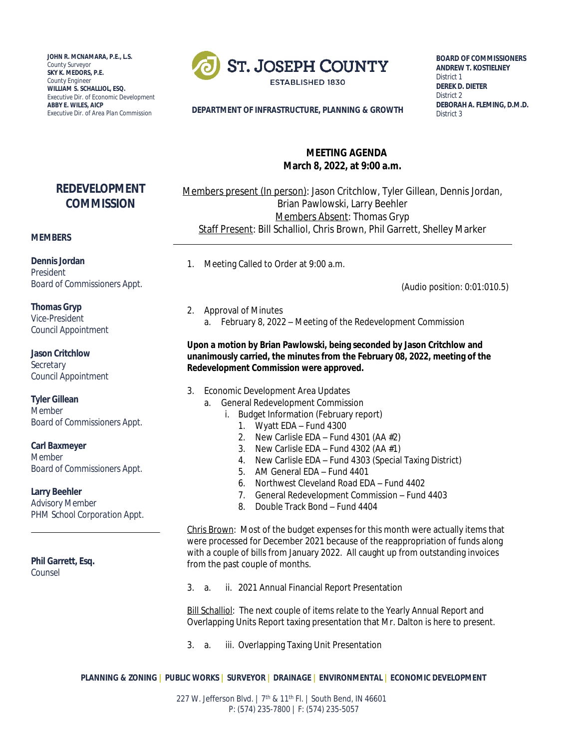**JOHN R. MCNAMARA, P.E., L.S.** *County Surveyor* **SKY K. MEDORS, P.E.** *County Engineer* **WILLIAM S. SCHALLIOL, ESQ.** *Executive Dir. of Economic Development* **ABBY E. WILES, AICP**



**BOARD OF COMMISSIONERS ANDREW T. KOSTIELNEY** *District 1* **DEREK D. DIETER** *District 2* **DEBORAH A. FLEMING, D.M.D.** *District 3*

#### **DEPARTMENT OF INFRASTRUCTURE, PLANNING & GROWTH**

## **MEETING AGENDA March 8, 2022, at 9:00 a.m.**

# **REDEVELOPMENT COMMISSION**

## Members present (In person): Jason Critchlow, Tyler Gillean, Dennis Jordan, Brian Pawlowski, Larry Beehler Members Absent: Thomas Gryp Staff Present: Bill Schalliol, Chris Brown, Phil Garrett, Shelley Marker

#### **MEMBERS**

**Dennis Jordan** *President Board of Commissioners Appt.*

**Thomas Gryp** *Vice-President Council Appointment*

**Jason Critchlow** *Secretary Council Appointment*

**Tyler Gillean** *Member Board of Commissioners Appt.*

**Carl Baxmeyer** *Member Board of Commissioners Appt.*

**Larry Beehler** *Advisory Member PHM School Corporation Appt.*

**Phil Garrett, Esq.**

*Counsel*

1. Meeting Called to Order at 9:00 a.m.

(Audio position: 0:01:010.5)

2. Approval of Minutes a. February 8, 2022 – Meeting of the Redevelopment Commission

**Upon a motion by Brian Pawlowski, being seconded by Jason Critchlow and unanimously carried, the minutes from the February 08, 2022, meeting of the Redevelopment Commission were approved.**

- 3. Economic Development Area Updates
	- a. General Redevelopment Commission
		- i. Budget Information (February report)
			- 1. Wyatt EDA Fund 4300
			- 2. New Carlisle EDA Fund 4301 (AA  $#2$ )
			- 3. New Carlisle EDA Fund 4302 (AA  $#1$ )
			- 4. New Carlisle EDA Fund 4303 (Special Taxing District)
			- 5. AM General EDA Fund 4401
			- 6. Northwest Cleveland Road EDA Fund 4402
			- 7. General Redevelopment Commission Fund 4403
			- 8. Double Track Bond Fund 4404

Chris Brown: Most of the budget expenses for this month were actually items that were processed for December 2021 because of the reappropriation of funds along with a couple of bills from January 2022. All caught up from outstanding invoices from the past couple of months.

3. a. ii. 2021 Annual Financial Report Presentation

Bill Schalliol: The next couple of items relate to the Yearly Annual Report and Overlapping Units Report taxing presentation that Mr. Dalton is here to present.

3. a. iii. Overlapping Taxing Unit Presentation

**PLANNING & ZONING | PUBLIC WORKS | SURVEYOR | DRAINAGE | ENVIRONMENTAL | ECONOMIC DEVELOPMENT**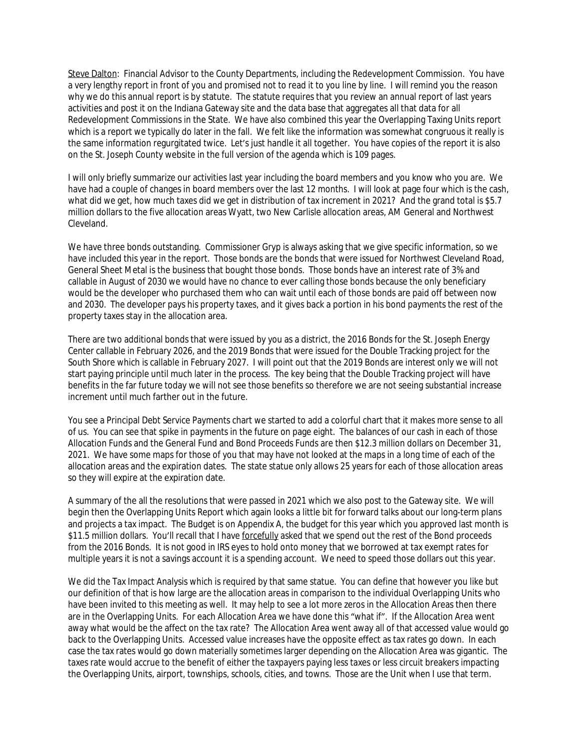Steve Dalton: Financial Advisor to the County Departments, including the Redevelopment Commission. You have a very lengthy report in front of you and promised not to read it to you line by line. I will remind you the reason why we do this annual report is by statute. The statute requires that you review an annual report of last years activities and post it on the Indiana Gateway site and the data base that aggregates all that data for all Redevelopment Commissions in the State. We have also combined this year the Overlapping Taxing Units report which is a report we typically do later in the fall. We felt like the information was somewhat congruous it really is the same information regurgitated twice. Let's just handle it all together. You have copies of the report it is also on the St. Joseph County website in the full version of the agenda which is 109 pages.

I will only briefly summarize our activities last year including the board members and you know who you are. We have had a couple of changes in board members over the last 12 months. I will look at page four which is the cash, what did we get, how much taxes did we get in distribution of tax increment in 2021? And the grand total is \$5.7 million dollars to the five allocation areas Wyatt, two New Carlisle allocation areas, AM General and Northwest Cleveland.

We have three bonds outstanding. Commissioner Gryp is always asking that we give specific information, so we have included this year in the report. Those bonds are the bonds that were issued for Northwest Cleveland Road, General Sheet Metal is the business that bought those bonds. Those bonds have an interest rate of 3% and callable in August of 2030 we would have no chance to ever calling those bonds because the only beneficiary would be the developer who purchased them who can wait until each of those bonds are paid off between now and 2030. The developer pays his property taxes, and it gives back a portion in his bond payments the rest of the property taxes stay in the allocation area.

There are two additional bonds that were issued by you as a district, the 2016 Bonds for the St. Joseph Energy Center callable in February 2026, and the 2019 Bonds that were issued for the Double Tracking project for the South Shore which is callable in February 2027. I will point out that the 2019 Bonds are interest only we will not start paying principle until much later in the process. The key being that the Double Tracking project will have benefits in the far future today we will not see those benefits so therefore we are not seeing substantial increase increment until much farther out in the future.

You see a Principal Debt Service Payments chart we started to add a colorful chart that it makes more sense to all of us. You can see that spike in payments in the future on page eight. The balances of our cash in each of those Allocation Funds and the General Fund and Bond Proceeds Funds are then \$12.3 million dollars on December 31, 2021. We have some maps for those of you that may have not looked at the maps in a long time of each of the allocation areas and the expiration dates. The state statue only allows 25 years for each of those allocation areas so they will expire at the expiration date.

A summary of the all the resolutions that were passed in 2021 which we also post to the Gateway site. We will begin then the Overlapping Units Report which again looks a little bit for forward talks about our long-term plans and projects a tax impact. The Budget is on Appendix A, the budget for this year which you approved last month is \$11.5 million dollars. You'll recall that I have forcefully asked that we spend out the rest of the Bond proceeds from the 2016 Bonds. It is not good in IRS eyes to hold onto money that we borrowed at tax exempt rates for multiple years it is not a savings account it is a spending account. We need to speed those dollars out this year.

We did the Tax Impact Analysis which is required by that same statue. You can define that however you like but our definition of that is how large are the allocation areas in comparison to the individual Overlapping Units who have been invited to this meeting as well. It may help to see a lot more zeros in the Allocation Areas then there are in the Overlapping Units. For each Allocation Area we have done this "what if". If the Allocation Area went away what would be the affect on the tax rate? The Allocation Area went away all of that accessed value would go back to the Overlapping Units. Accessed value increases have the opposite effect as tax rates go down. In each case the tax rates would go down materially sometimes larger depending on the Allocation Area was gigantic. The taxes rate would accrue to the benefit of either the taxpayers paying less taxes or less circuit breakers impacting the Overlapping Units, airport, townships, schools, cities, and towns. Those are the Unit when I use that term.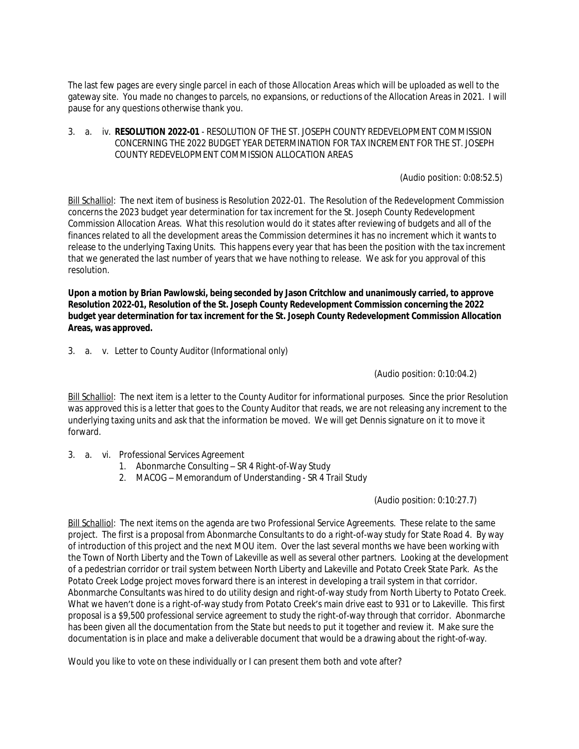The last few pages are every single parcel in each of those Allocation Areas which will be uploaded as well to the gateway site. You made no changes to parcels, no expansions, or reductions of the Allocation Areas in 2021. I will pause for any questions otherwise thank you.

#### 3. a. iv. **RESOLUTION 2022-01** - RESOLUTION OF THE ST. JOSEPH COUNTY REDEVELOPMENT COMMISSION CONCERNING THE 2022 BUDGET YEAR DETERMINATION FOR TAX INCREMENT FOR THE ST. JOSEPH COUNTY REDEVELOPMENT COMMISSION ALLOCATION AREAS

(Audio position: 0:08:52.5)

Bill Schalliol: The next item of business is Resolution 2022-01. The Resolution of the Redevelopment Commission concerns the 2023 budget year determination for tax increment for the St. Joseph County Redevelopment Commission Allocation Areas. What this resolution would do it states after reviewing of budgets and all of the finances related to all the development areas the Commission determines it has no increment which it wants to release to the underlying Taxing Units. This happens every year that has been the position with the tax increment that we generated the last number of years that we have nothing to release. We ask for you approval of this resolution.

**Upon a motion by Brian Pawlowski, being seconded by Jason Critchlow and unanimously carried, to approve Resolution 2022-01, Resolution of the St. Joseph County Redevelopment Commission concerning the 2022 budget year determination for tax increment for the St. Joseph County Redevelopment Commission Allocation Areas, was approved.**

3. a. v. Letter to County Auditor (Informational only)

(Audio position: 0:10:04.2)

Bill Schalliol: The next item is a letter to the County Auditor for informational purposes. Since the prior Resolution was approved this is a letter that goes to the County Auditor that reads, we are not releasing any increment to the underlying taxing units and ask that the information be moved. We will get Dennis signature on it to move it forward.

- 3. a. vi. Professional Services Agreement
	- 1. Abonmarche Consulting SR 4 Right-of-Way Study
	- 2. MACOG Memorandum of Understanding SR 4 Trail Study

(Audio position: 0:10:27.7)

Bill Schalliol: The next items on the agenda are two Professional Service Agreements. These relate to the same project. The first is a proposal from Abonmarche Consultants to do a right-of-way study for State Road 4. By way of introduction of this project and the next MOU item. Over the last several months we have been working with the Town of North Liberty and the Town of Lakeville as well as several other partners. Looking at the development of a pedestrian corridor or trail system between North Liberty and Lakeville and Potato Creek State Park. As the Potato Creek Lodge project moves forward there is an interest in developing a trail system in that corridor. Abonmarche Consultants was hired to do utility design and right-of-way study from North Liberty to Potato Creek. What we haven't done is a right-of-way study from Potato Creek's main drive east to 931 or to Lakeville. This first proposal is a \$9,500 professional service agreement to study the right-of-way through that corridor. Abonmarche has been given all the documentation from the State but needs to put it together and review it. Make sure the documentation is in place and make a deliverable document that would be a drawing about the right-of-way.

Would you like to vote on these individually or I can present them both and vote after?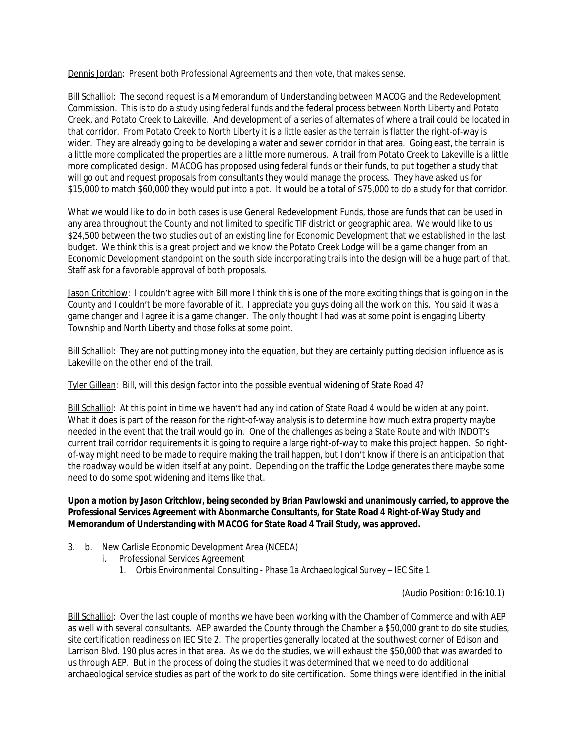Dennis Jordan: Present both Professional Agreements and then vote, that makes sense.

Bill Schalliol: The second request is a Memorandum of Understanding between MACOG and the Redevelopment Commission. This is to do a study using federal funds and the federal process between North Liberty and Potato Creek, and Potato Creek to Lakeville. And development of a series of alternates of where a trail could be located in that corridor. From Potato Creek to North Liberty it is a little easier as the terrain is flatter the right-of-way is wider. They are already going to be developing a water and sewer corridor in that area. Going east, the terrain is a little more complicated the properties are a little more numerous. A trail from Potato Creek to Lakeville is a little more complicated design. MACOG has proposed using federal funds or their funds, to put together a study that will go out and request proposals from consultants they would manage the process. They have asked us for \$15,000 to match \$60,000 they would put into a pot. It would be a total of \$75,000 to do a study for that corridor.

What we would like to do in both cases is use General Redevelopment Funds, those are funds that can be used in any area throughout the County and not limited to specific TIF district or geographic area. We would like to us \$24,500 between the two studies out of an existing line for Economic Development that we established in the last budget. We think this is a great project and we know the Potato Creek Lodge will be a game changer from an Economic Development standpoint on the south side incorporating trails into the design will be a huge part of that. Staff ask for a favorable approval of both proposals.

Jason Critchlow: I couldn't agree with Bill more I think this is one of the more exciting things that is going on in the County and I couldn't be more favorable of it. I appreciate you guys doing all the work on this. You said it was a game changer and I agree it is a game changer. The only thought I had was at some point is engaging Liberty Township and North Liberty and those folks at some point.

Bill Schalliol: They are not putting money into the equation, but they are certainly putting decision influence as is Lakeville on the other end of the trail.

Tyler Gillean: Bill, will this design factor into the possible eventual widening of State Road 4?

Bill Schalliol: At this point in time we haven't had any indication of State Road 4 would be widen at any point. What it does is part of the reason for the right-of-way analysis is to determine how much extra property maybe needed in the event that the trail would go in. One of the challenges as being a State Route and with INDOT's current trail corridor requirements it is going to require a large right-of-way to make this project happen. So rightof-way might need to be made to require making the trail happen, but I don't know if there is an anticipation that the roadway would be widen itself at any point. Depending on the traffic the Lodge generates there maybe some need to do some spot widening and items like that.

### **Upon a motion by Jason Critchlow, being seconded by Brian Pawlowski and unanimously carried, to approve the Professional Services Agreement with Abonmarche Consultants, for State Road 4 Right-of-Way Study and Memorandum of Understanding with MACOG for State Road 4 Trail Study, was approved.**

- 3. b. New Carlisle Economic Development Area (NCEDA)
	- i. Professional Services Agreement
		- 1. Orbis Environmental Consulting Phase 1a Archaeological Survey IEC Site 1

(Audio Position: 0:16:10.1)

Bill Schalliol: Over the last couple of months we have been working with the Chamber of Commerce and with AEP as well with several consultants. AEP awarded the County through the Chamber a \$50,000 grant to do site studies, site certification readiness on IEC Site 2. The properties generally located at the southwest corner of Edison and Larrison Blvd. 190 plus acres in that area. As we do the studies, we will exhaust the \$50,000 that was awarded to us through AEP. But in the process of doing the studies it was determined that we need to do additional archaeological service studies as part of the work to do site certification. Some things were identified in the initial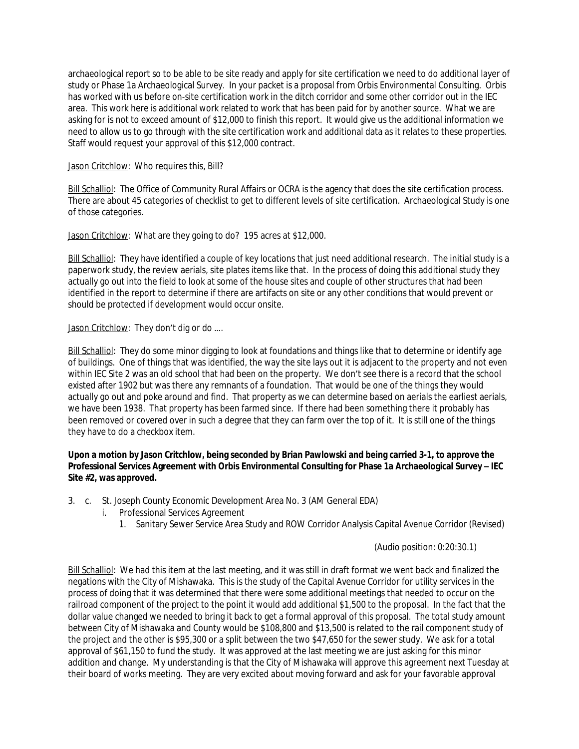archaeological report so to be able to be site ready and apply for site certification we need to do additional layer of study or Phase 1a Archaeological Survey. In your packet is a proposal from Orbis Environmental Consulting. Orbis has worked with us before on-site certification work in the ditch corridor and some other corridor out in the IEC area. This work here is additional work related to work that has been paid for by another source. What we are asking for is not to exceed amount of \$12,000 to finish this report. It would give us the additional information we need to allow us to go through with the site certification work and additional data as it relates to these properties. Staff would request your approval of this \$12,000 contract.

### Jason Critchlow: Who requires this, Bill?

Bill Schalliol: The Office of Community Rural Affairs or OCRA is the agency that does the site certification process. There are about 45 categories of checklist to get to different levels of site certification. Archaeological Study is one of those categories.

Jason Critchlow: What are they going to do? 195 acres at \$12,000.

Bill Schalliol: They have identified a couple of key locations that just need additional research. The initial study is a paperwork study, the review aerials, site plates items like that. In the process of doing this additional study they actually go out into the field to look at some of the house sites and couple of other structures that had been identified in the report to determine if there are artifacts on site or any other conditions that would prevent or should be protected if development would occur onsite.

### Jason Critchlow: They don't dig or do ....

Bill Schalliol: They do some minor digging to look at foundations and things like that to determine or identify age of buildings. One of things that was identified, the way the site lays out it is adjacent to the property and not even within IEC Site 2 was an old school that had been on the property. We don't see there is a record that the school existed after 1902 but was there any remnants of a foundation. That would be one of the things they would actually go out and poke around and find. That property as we can determine based on aerials the earliest aerials, we have been 1938. That property has been farmed since. If there had been something there it probably has been removed or covered over in such a degree that they can farm over the top of it. It is still one of the things they have to do a checkbox item.

### **Upon a motion by Jason Critchlow, being seconded by Brian Pawlowski and being carried 3-1, to approve the Professional Services Agreement with Orbis Environmental Consulting for Phase 1a Archaeological Survey – IEC Site #2, was approved.**

- 3. c. St. Joseph County Economic Development Area No. 3 (AM General EDA)
	- i. Professional Services Agreement
		- 1. Sanitary Sewer Service Area Study and ROW Corridor Analysis Capital Avenue Corridor (Revised)

#### (Audio position: 0:20:30.1)

Bill Schalliol: We had this item at the last meeting, and it was still in draft format we went back and finalized the negations with the City of Mishawaka. This is the study of the Capital Avenue Corridor for utility services in the process of doing that it was determined that there were some additional meetings that needed to occur on the railroad component of the project to the point it would add additional \$1,500 to the proposal. In the fact that the dollar value changed we needed to bring it back to get a formal approval of this proposal. The total study amount between City of Mishawaka and County would be \$108,800 and \$13,500 is related to the rail component study of the project and the other is \$95,300 or a split between the two \$47,650 for the sewer study. We ask for a total approval of \$61,150 to fund the study. It was approved at the last meeting we are just asking for this minor addition and change. My understanding is that the City of Mishawaka will approve this agreement next Tuesday at their board of works meeting. They are very excited about moving forward and ask for your favorable approval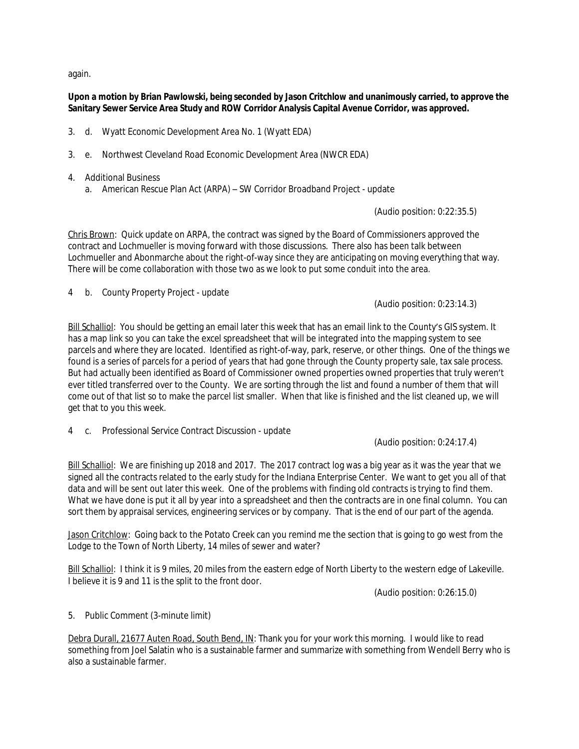again.

## **Upon a motion by Brian Pawlowski, being seconded by Jason Critchlow and unanimously carried, to approve the Sanitary Sewer Service Area Study and ROW Corridor Analysis Capital Avenue Corridor, was approved.**

- 3. d. Wyatt Economic Development Area No. 1 (Wyatt EDA)
- 3. e. Northwest Cleveland Road Economic Development Area (NWCR EDA)
- 4. Additional Business
	- a. American Rescue Plan Act (ARPA) SW Corridor Broadband Project update

(Audio position: 0:22:35.5)

Chris Brown: Quick update on ARPA, the contract was signed by the Board of Commissioners approved the contract and Lochmueller is moving forward with those discussions. There also has been talk between Lochmueller and Abonmarche about the right-of-way since they are anticipating on moving everything that way. There will be come collaboration with those two as we look to put some conduit into the area.

4 b. County Property Project - update

(Audio position: 0:23:14.3)

Bill Schalliol: You should be getting an email later this week that has an email link to the County's GIS system. It has a map link so you can take the excel spreadsheet that will be integrated into the mapping system to see parcels and where they are located. Identified as right-of-way, park, reserve, or other things. One of the things we found is a series of parcels for a period of years that had gone through the County property sale, tax sale process. But had actually been identified as Board of Commissioner owned properties owned properties that truly weren't ever titled transferred over to the County. We are sorting through the list and found a number of them that will come out of that list so to make the parcel list smaller. When that like is finished and the list cleaned up, we will get that to you this week.

4 c. Professional Service Contract Discussion - update

(Audio position: 0:24:17.4)

Bill Schalliol: We are finishing up 2018 and 2017. The 2017 contract log was a big year as it was the year that we signed all the contracts related to the early study for the Indiana Enterprise Center. We want to get you all of that data and will be sent out later this week. One of the problems with finding old contracts is trying to find them. What we have done is put it all by year into a spreadsheet and then the contracts are in one final column. You can sort them by appraisal services, engineering services or by company. That is the end of our part of the agenda.

Jason Critchlow: Going back to the Potato Creek can you remind me the section that is going to go west from the Lodge to the Town of North Liberty, 14 miles of sewer and water?

Bill Schalliol: I think it is 9 miles, 20 miles from the eastern edge of North Liberty to the western edge of Lakeville. I believe it is 9 and 11 is the split to the front door.

(Audio position: 0:26:15.0)

5. Public Comment (3-minute limit)

Debra Durall, 21677 Auten Road, South Bend, IN: Thank you for your work this morning. I would like to read something from Joel Salatin who is a sustainable farmer and summarize with something from Wendell Berry who is also a sustainable farmer.